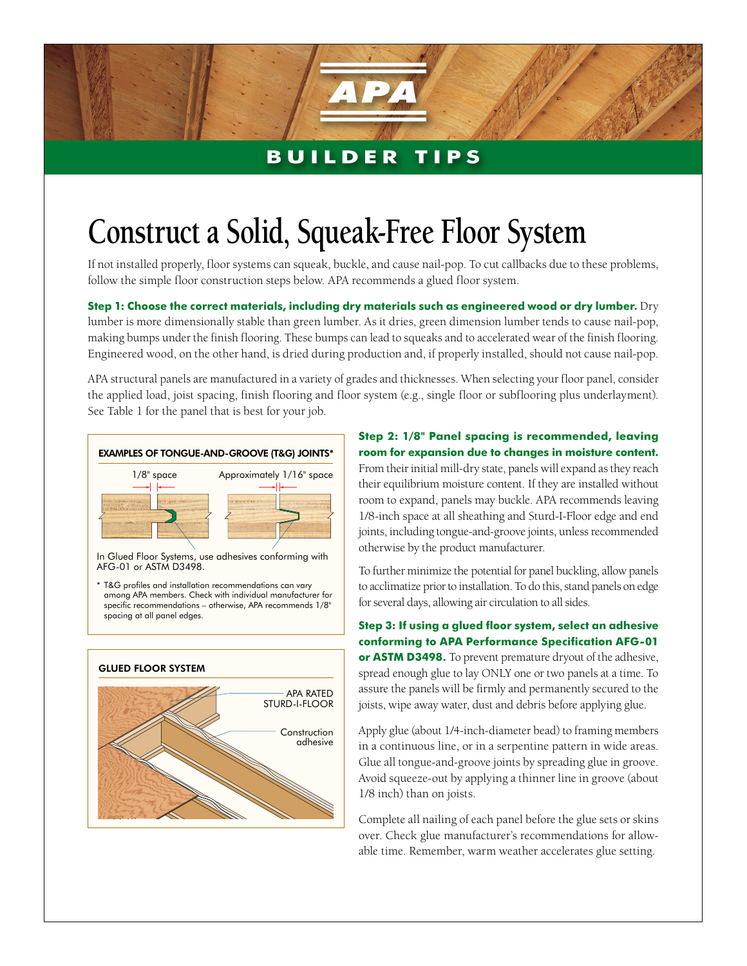## **BUILDER TIPS**

## **Construct a Solid, Squeak-Free Floor System**

If not installed properly, floor systems can squeak, buckle, and cause nail-pop. To cut callbacks due to these problems, follow the simple floor construction steps below. APA recommends a glued floor system.

**Step 1: Choose the correct materials, including dry materials such as engineered wood or dry lumber.** Dry lumber is more dimensionally stable than green lumber. As it dries, green dimension lumber tends to cause nail-pop, making bumps under the finish flooring. These bumps can lead to squeaks and to accelerated wear of the finish flooring. Engineered wood, on the other hand, is dried during production and, if properly installed, should not cause nail-pop.

APA structural panels are manufactured in a variety of grades and thicknesses. When selecting your floor panel, consider the applied load, joist spacing, finish flooring and floor system (e.g., single floor or subflooring plus underlayment). See Table 1 for the panel that is best for your job.



In Glued Floor Systems, use adhesives conforming with AFG-01 or ASTM D3498.

\* T&G profiles and installation recommendations can vary among APA members. Check with individual manufacturer for specific recommendations – otherwise, APA recommends 1/8" spacing at all panel edges.



**Step 2: 1/8" Panel spacing is recommended, leaving room for expansion due to changes in moisture content.**  From their initial mill-dry state, panels will expand as they reach their equilibrium moisture content. If they are installed without room to expand, panels may buckle. APA recommends leaving 1/8-inch space at all sheathing and Sturd-I-Floor edge and end joints, including tongue-and-groove joints, unless recommended otherwise by the product manufacturer.

To further minimize the potential for panel buckling, allow panels to acclimatize prior to installation. To do this, stand panels on edge for several days, allowing air circulation to all sides.

**Step 3: If using a glued floor system, select an adhesive conforming to APA Performance Specification AFG-01 or ASTM D3498.** To prevent premature dryout of the adhesive, spread enough glue to lay ONLY one or two panels at a time. To assure the panels will be firmly and permanently secured to the joists, wipe away water, dust and debris before applying glue.

Apply glue (about 1/4-inch-diameter bead) to framing members in a continuous line, or in a serpentine pattern in wide areas. Glue all tongue-and-groove joints by spreading glue in groove. Avoid squeeze-out by applying a thinner line in groove (about 1/8 inch) than on joists.

Complete all nailing of each panel before the glue sets or skins over. Check glue manufacturer's recommendations for allowable time. Remember, warm weather accelerates glue setting.